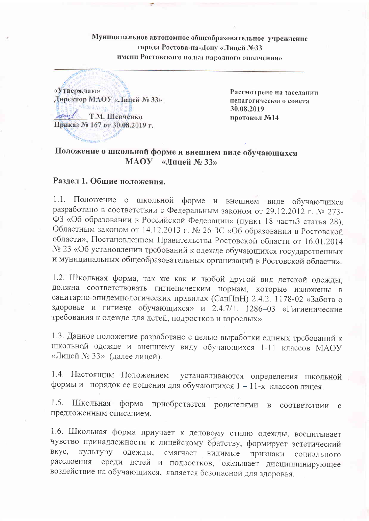Муниципальное автономное общеобразовательное учреждение города Ростова-на-Дону «Лицей №33 имени Ростовского полка народного ополчения»



Рассмотрено на заседании педагогического совета 30.08.2019 протокол №14

# Положение о школьной форме и внешнем виде обучающихся МАОУ «Липей № 33»

## Раздел 1. Общие положения.

1.1. Положение о школьной форме и внешнем виде обучающихся разработано в соответствии с Федеральным законом от 29.12.2012 г. № 273-ФЗ «Об образовании в Российской Федерации» (пункт 18 часть3 статья 28), Областным законом от 14.12.2013 г. № 26-3С «Об образовании в Ростовской области», Постановлением Правительства Ростовской области от 16.01.2014 № 23 «Об установлении требований к одежде обучающихся государственных и муниципальных общеобразовательных организаций в Ростовской области».

1.2. Школьная форма, так же как и любой другой вид детской одежды, должна соответствовать гигиеническим нормам, которые изложены в санитарно-эпидемиологических правилах (СанГІиН) 2.4.2. 1178-02 «Забота о здоровье и гигиене обучающихся» и 2.4.7/1. 1286-03 «Гигиенические требования к одежде для детей, подростков и взрослых».

1.3. Данное положение разработано с целью выработки единых требований к школьной одежде и внешнему виду обучающихся 1-11 классов МАОУ «Лицей № 33» (далее лицей).

1.4. Настоящим Положением устанавливаются определения школьной формы и порядок ее ношения для обучающихся 1 - 11-х классов лицея.

Школьная форма приобретается родителями в  $1.5.$ соответствии с предложенным описанием.

1.6. Школьная форма приучает к деловому стилю одежды, воспитывает чувство принадлежности к лицейскому братству, формирует эстетический BKVC. видимые признаки социального культуру одежды, смягчает среди детей и подростков, оказывает дисциплинирующее расслоения воздействие на обучающихся, является безопасной для здоровья.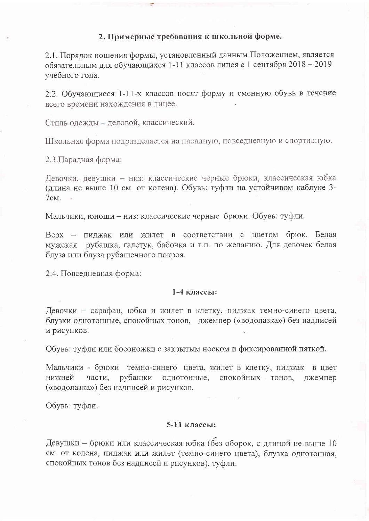#### 2. Примерные требования к школьной форме.

2.1. Порядок ношения формы, установленный данным Положением, является обязательным для обучающихся 1-11 классов лицея с 1 сентября 2018 - 2019 учебного года.

2.2. Обучающиеся 1-11-х классов носят форму и сменную обувь в течение всего времени нахождения в лицее.

Стиль одежды - деловой, классический.

Школьная форма подразделяется на парадную, повседневную и спортивную.

2.3. Парадная форма:

Девочки, девушки - низ: классические черные брюки, классическая юбка (длина не выше 10 см. от колена). Обувь: туфли на устойчивом каблуке 3- $7cm.$ 

Мальчики, юноши – низ: классические черные брюки. Обувь: туфли.

Верх - пиджак или жилет в соответствии с цветом брюк. Белая мужская рубашка, галстук, бабочка и т.п. по желанию. Для девочек белая блуза или блуза рубашечного покроя.

2.4. Повседневная форма:

#### $1-4$  классы:

Девочки - сарафан, юбка и жилет в клетку, пиджак темно-синего цвета, блузки однотонные, спокойных тонов, джемпер («водолазка») без надписей и рисунков.

Обувь: туфли или босоножки с закрытым носком и фиксированной пяткой.

Мальчики - брюки темно-синего цвета, жилет в клетку, пиджак в цвет рубашки однотонные, спокойных тонов, нижней части. джемпер («водолазка») без надписей и рисунков.

Обувь: туфли.

### 5-11 классы:

Девушки – брюки или классическая юбка (без оборок, с длиной не выше 10 см. от колена, пиджак или жилет (темно-синего цвета), блузка однотонная, спокойных тонов без надписей и рисунков), туфли.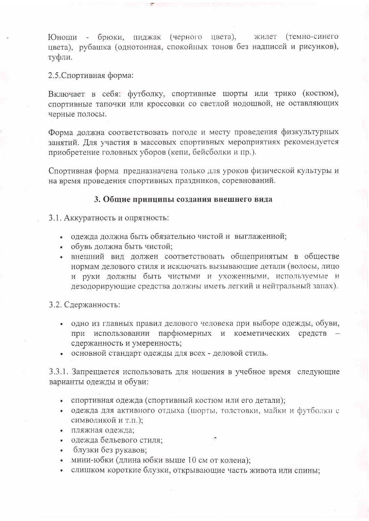Юноши - брюки, пиджак (черного цвета), жилет (темно-синего цвета), рубашка (однотонная, спокойных тонов без надписей и рисунков), туфли.

2.5. Спортивная форма:

Включает в себя: футболку, спортивные шорты или трико (костюм), спортивные тапочки или кроссовки со светлой подошвой, не оставляющих черные полосы.

Форма должна соответствовать погоде и месту проведения физкультурных занятий. Для участия в массовых спортивных мероприятиях рекомендуется приобретение головных уборов (кепи, бейсболки и пр.).

Спортивная форма предназначена только для уроков физической культуры и на время проведения спортивных праздников, соревнований.

#### 3. Общие принципы создания внешнего вида

3.1. Аккуратность и опрятность:

- одежда должна быть обязательно чистой и выглаженной;
- обувь должна быть чистой;
- внешний вид должен соответствовать общепринятым в обществе нормам делового стиля и исключать вызывающие детали (волосы, лицо и руки должны быть чистыми и ухоженными, используемые и дезодорирующие средства должны иметь легкий и нейтральный запах).

3.2. Сдержанность:

- одно из главных правил делового человека при выборе одежды, обуви, при использовании парфюмерных и косметических средств сдержанность и умеренность;
- основной стандарт одежды для всех деловой стиль.

3.3.1. Запрещается использовать для ношения в учебное время следующие варианты одежды и обуви:

- спортивная одежда (спортивный костюм или его детали);
- одежда для активного отдыха (шорты, толстовки, майки и футболки с символикой и т.п.);
- пляжная одежда:
- одежда бельевого стиля;
- блузки без рукавов;
- мини-юбки (длина юбки выше 10 см от колена);
- слишком короткие блузки, открывающие часть живота или спины: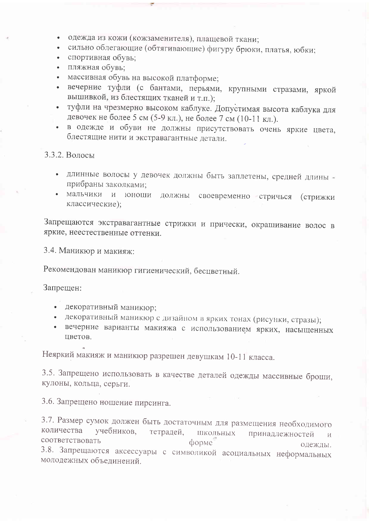- одежда из кожи (кожзаменителя), плащевой ткани;
- сильно облегающие (обтягивающие) фигуру брюки, платья, юбки;
- спортивная обувь;
- пляжная обувь:  $\bullet$
- массивная обувь на высокой платформе;
- вечерние туфли (с бантами, перьями, крупными стразами, яркой  $\bullet$ вышивкой, из блестящих тканей и т.п.);
- туфли на чрезмерно высоком каблуке. Допустимая высота каблука для  $\bullet$ девочек не более 5 см (5-9 кл.), не более 7 см (10-11 кл.).
- в одежде и обуви не должны присутствовать очень яркие цвета, блестящие нити и экстравагантные детали.

## 3.3.2. Волосы

- длинные волосы у девочек должны быть заплетены, средней длины прибраны заколками;
- мальчики и юноши должны своевременно стричься (стрижки классические);

Запрещаются экстравагантные стрижки и прически, окрашивание волос в яркие, неестественные оттенки.

3.4. Маникюр и макияж:

Рекомендован маникюр гигиенический, бесцветный.

Запрещен:

- декоративный маникюр;
- декоративный маникюр с дизайном в ярких тонах (рисунки, стразы);
- вечерние варианты макияжа с использованием ярких, насыщенных цветов.

Неяркий макияж и маникюр разрешен девушкам 10-11 класса.

3.5. Запрещено использовать в качестве деталей одежды массивные броши, кулоны, кольца, серьги.

3.6. Запрещено ношение пирсинга.

3.7. Размер сумок должен быть достаточным для размещения необходимого количества учебников, тетрадей, ШКОЛЬНЫХ принадлежностей И соответствовать форме одежды. 3.8. Запрещаются аксессуары с символикой асоциальных неформальных молодежных объединений.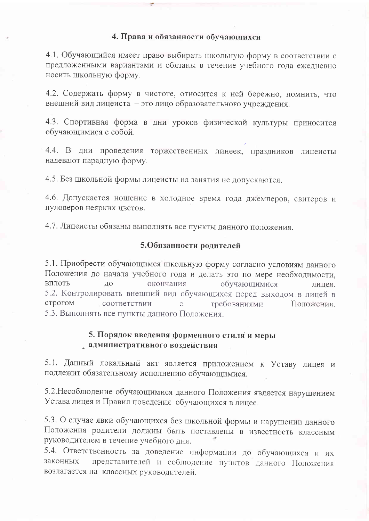### 4. Права и обязанности обучающихся

4.1. Обучающийся имеет право выбирать школьную форму в соответствии с предложенными вариантами и обязаны в течение учебного года ежелневно носить школьную форму.

4.2. Содержать форму в чистоте, относится к ней бережно, помнить, что внешний вид лицеиста - это лицо образовательного учреждения.

4.3. Спортивная форма в дни уроков физической культуры приносится обучающимися с собой.

4.4. В дни проведения торжественных линеек, праздников лицеисты надевают парадную форму.

4.5. Без школьной формы лицеисты на занятия не допускаются.

4.6. Допускается ношение в холодное время года джемперов, свитеров и пуловеров неярких цветов.

4.7. Лицеисты обязаны выполнять все пункты данного положения.

### 5.Обязанности родителей

5.1. Приобрести обучающимся школьную форму согласно условиям данного Положения до начала учебного года и делать это по мере необходимости, вплоть ДО окончания обучающимися лицея. 5.2. Контролировать внешний вид обучающихся перед выходом в лицей в строгом соответствии требованиями Положения  $\mathcal{C}$ 5.3. Выполнять все пункты данного Положения.

## 5. Порядок введения форменного стиля и меры административного воздействия

5.1. Данный локальный акт является приложением к Уставу лицея и подлежит обязательному исполнению обучающимися.

5.2. Несоблюдение обучающимися данного Положения является нарушением Устава лицея и Правил поведения обучающихся в лицее.

5.3. О случае явки обучающихся без школьной формы и нарушении данного Положения родители должны быть поставлены в известность классным руководителем в течение учебного дня.

5.4. Ответственность за доведение информации до обучающихся и их представителей и соблюдение пунктов данного Положения законных возлагается на классных руководителей.